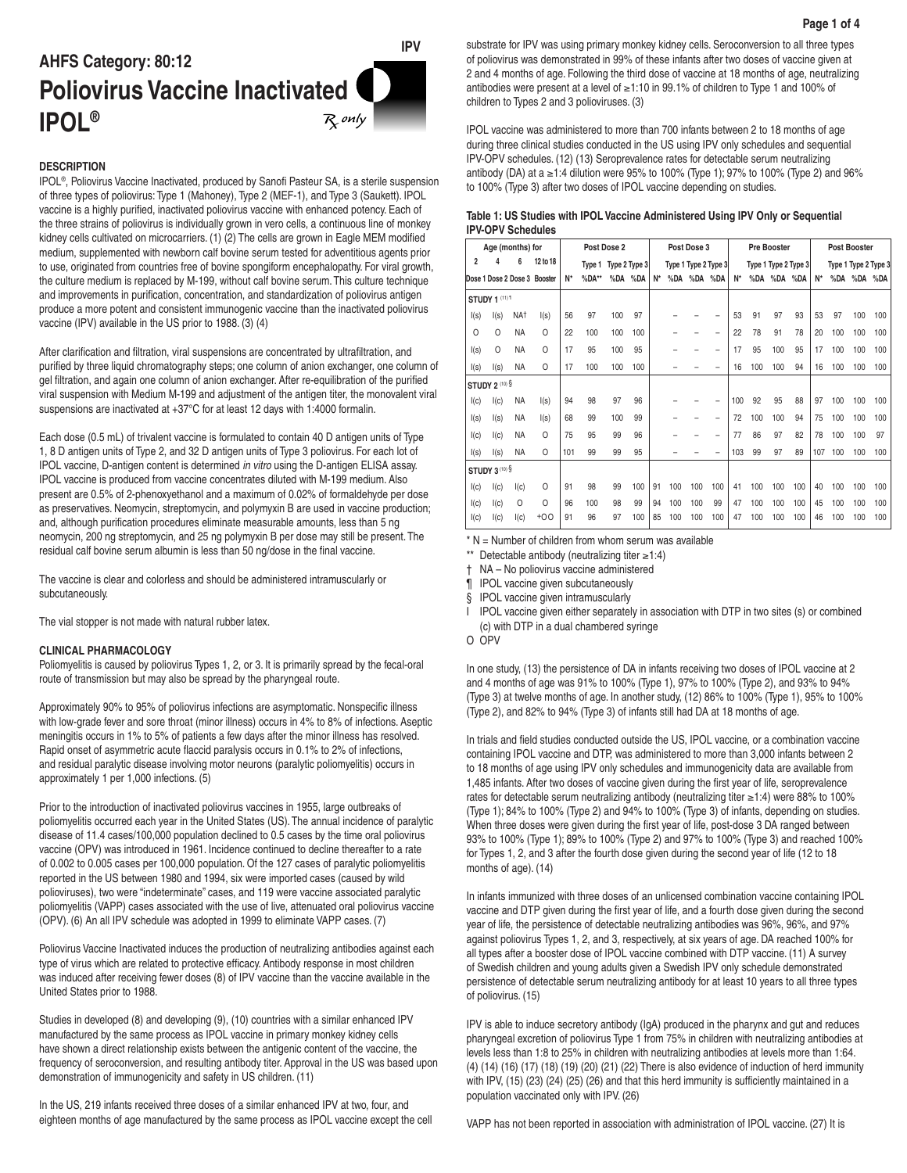# **IPV AHFS Category: 80:12 Poliovirus Vaccine Inactivated IPOL®**  $_{\mathcal{R}}$  only  $|$

# **DESCRIPTION**

IPOL®, Poliovirus Vaccine Inactivated, produced by Sanofi Pasteur SA, is a sterile suspension of three types of poliovirus: Type 1 (Mahoney), Type 2 (MEF-1), and Type 3 (Saukett). IPOL vaccine is a highly purified, inactivated poliovirus vaccine with enhanced potency. Each of the three strains of poliovirus is individually grown in vero cells, a continuous line of monkey kidney cells cultivated on microcarriers. (1) (2) The cells are grown in Eagle MEM modified medium, supplemented with newborn calf bovine serum tested for adventitious agents prior to use, originated from countries free of bovine spongiform encephalopathy. For viral growth, the culture medium is replaced by M-199, without calf bovine serum. This culture technique and improvements in purification, concentration, and standardization of poliovirus antigen produce a more potent and consistent immunogenic vaccine than the inactivated poliovirus vaccine (IPV) available in the US prior to 1988. (3) (4)

After clarification and filtration, viral suspensions are concentrated by ultrafiltration, and purified by three liquid chromatography steps; one column of anion exchanger, one column of gel filtration, and again one column of anion exchanger. After re-equilibration of the purified viral suspension with Medium M-199 and adjustment of the antigen titer, the monovalent viral suspensions are inactivated at +37°C for at least 12 days with 1:4000 formalin.

Each dose (0.5 mL) of trivalent vaccine is formulated to contain 40 D antigen units of Type 1, 8 D antigen units of Type 2, and 32 D antigen units of Type 3 poliovirus. For each lot of IPOL vaccine, D-antigen content is determined *in vitro* using the D-antigen ELISA assay. IPOL vaccine is produced from vaccine concentrates diluted with M-199 medium. Also present are 0.5% of 2-phenoxyethanol and a maximum of 0.02% of formaldehyde per dose as preservatives. Neomycin, streptomycin, and polymyxin B are used in vaccine production; and, although purification procedures eliminate measurable amounts, less than 5 ng neomycin, 200 ng streptomycin, and 25 ng polymyxin B per dose may still be present. The residual calf bovine serum albumin is less than 50 ng/dose in the final vaccine.

The vaccine is clear and colorless and should be administered intramuscularly or subcutaneously.

The vial stopper is not made with natural rubber latex.

### **CLINICAL PHARMACOLOGY**

Poliomyelitis is caused by poliovirus Types 1, 2, or 3. It is primarily spread by the fecal-oral route of transmission but may also be spread by the pharyngeal route.

Approximately 90% to 95% of poliovirus infections are asymptomatic. Nonspecific illness with low-grade fever and sore throat (minor illness) occurs in 4% to 8% of infections. Aseptic meningitis occurs in 1% to 5% of patients a few days after the minor illness has resolved. Rapid onset of asymmetric acute flaccid paralysis occurs in 0.1% to 2% of infections, and residual paralytic disease involving motor neurons (paralytic poliomyelitis) occurs in approximately 1 per 1,000 infections. (5)

Prior to the introduction of inactivated poliovirus vaccines in 1955, large outbreaks of poliomyelitis occurred each year in the United States (US). The annual incidence of paralytic disease of 11.4 cases/100,000 population declined to 0.5 cases by the time oral poliovirus vaccine (OPV) was introduced in 1961. Incidence continued to decline thereafter to a rate of 0.002 to 0.005 cases per 100,000 population. Of the 127 cases of paralytic poliomyelitis reported in the US between 1980 and 1994, six were imported cases (caused by wild polioviruses), two were "indeterminate" cases, and 119 were vaccine associated paralytic poliomyelitis (VAPP) cases associated with the use of live, attenuated oral poliovirus vaccine (OPV). (6) An all IPV schedule was adopted in 1999 to eliminate VAPP cases. (7)

Poliovirus Vaccine Inactivated induces the production of neutralizing antibodies against each type of virus which are related to protective efficacy. Antibody response in most children was induced after receiving fewer doses (8) of IPV vaccine than the vaccine available in the United States prior to 1988.

Studies in developed (8) and developing (9), (10) countries with a similar enhanced IPV manufactured by the same process as IPOL vaccine in primary monkey kidney cells have shown a direct relationship exists between the antigenic content of the vaccine, the frequency of seroconversion, and resulting antibody titer. Approval in the US was based upon demonstration of immunogenicity and safety in US children. (11)

In the US, 219 infants received three doses of a similar enhanced IPV at two, four, and eighteen months of age manufactured by the same process as IPOL vaccine except the cell substrate for IPV was using primary monkey kidney cells. Seroconversion to all three types of poliovirus was demonstrated in 99% of these infants after two doses of vaccine given at 2 and 4 months of age. Following the third dose of vaccine at 18 months of age, neutralizing antibodies were present at a level of ≥1:10 in 99.1% of children to Type 1 and 100% of children to Types 2 and 3 polioviruses. (3)

IPOL vaccine was administered to more than 700 infants between 2 to 18 months of age during three clinical studies conducted in the US using IPV only schedules and sequential IPV-OPV schedules. (12) (13) Seroprevalence rates for detectable serum neutralizing antibody (DA) at a ≥1:4 dilution were 95% to 100% (Type 1); 97% to 100% (Type 2) and 96% to 100% (Type 3) after two doses of IPOL vaccine depending on studies.

# **Table 1: US Studies with IPOL Vaccine Administered Using IPV Only or Sequential IPV-OPV Schedules**

| Age (months) for      |          |                 |                              | Post Dose 2 |         |               |     | Post Dose 3 |     |     |                      | <b>Pre Booster</b> |     |                      |     | <b>Post Booster</b> |     |     |                      |
|-----------------------|----------|-----------------|------------------------------|-------------|---------|---------------|-----|-------------|-----|-----|----------------------|--------------------|-----|----------------------|-----|---------------------|-----|-----|----------------------|
| $\overline{2}$        | 4        | 6               | 12 to 18                     |             | Type 1  | Type 2 Type 3 |     |             |     |     | Type 1 Type 2 Type 3 |                    |     | Type 1 Type 2 Type 3 |     |                     |     |     | Type 1 Type 2 Type 3 |
|                       |          |                 | Dose 1 Dose 2 Dose 3 Booster | $N^*$       | $%DA**$ | %DA           | %DA | $N^*$       | %DA | %DA | %DA                  | N*                 | %DA | %DA                  | %DA | $N^*$               | %DA | %DA | %DA                  |
| <b>STUDY 1 (11) 1</b> |          |                 |                              |             |         |               |     |             |     |     |                      |                    |     |                      |     |                     |     |     |                      |
| I(s)                  | I(s)     | NA <sup>+</sup> | I(s)                         | 56          | 97      | 100           | 97  |             |     |     |                      | 53                 | 91  | 97                   | 93  | 53                  | 97  | 100 | 100                  |
| $\circ$               | $\Omega$ | <b>NA</b>       | $\circ$                      | 22          | 100     | 100           | 100 |             |     |     | -                    | 22                 | 78  | 91                   | 78  | 20                  | 100 | 100 | 100                  |
| I(s)                  | $\Omega$ | <b>NA</b>       | $\Omega$                     | 17          | 95      | 100           | 95  |             |     |     |                      | 17                 | 95  | 100                  | 95  | 17                  | 100 | 100 | 100                  |
| I(s)                  | I(s)     | <b>NA</b>       | $\Omega$                     | 17          | 100     | 100           | 100 |             |     |     |                      | 16                 | 100 | 100                  | 94  | 16                  | 100 | 100 | 100                  |
| STUDY 2 (10) §        |          |                 |                              |             |         |               |     |             |     |     |                      |                    |     |                      |     |                     |     |     |                      |
| I(c)                  | I(c)     | ΝA              | I(s)                         | 94          | 98      | 97            | 96  |             |     |     |                      | 100                | 92  | 95                   | 88  | 97                  | 100 | 100 | 100                  |
| I(s)                  | I(s)     | <b>NA</b>       | I(s)                         | 68          | 99      | 100           | 99  |             |     |     |                      | 72                 | 100 | 100                  | 94  | 75                  | 100 | 100 | 100                  |
| I(c)                  | I(c)     | <b>NA</b>       | $\Omega$                     | 75          | 95      | 99            | 96  |             |     |     |                      | 77                 | 86  | 97                   | 82  | 78                  | 100 | 100 | 97                   |
| I(s)                  | I(s)     | <b>NA</b>       | $\Omega$                     | 101         | 99      | 99            | 95  |             |     |     |                      | 103                | 99  | 97                   | 89  | 107                 | 100 | 100 | 100                  |
| STUDY 3(10) §         |          |                 |                              |             |         |               |     |             |     |     |                      |                    |     |                      |     |                     |     |     |                      |
| I(c)                  | I(c)     | I(c)            | $\circ$                      | 91          | 98      | 99            | 100 | 91          | 100 | 100 | 100                  | 41                 | 100 | 100                  | 100 | 40                  | 100 | 100 | 100                  |
| I(c)                  | I(c)     | O               | $\Omega$                     | 96          | 100     | 98            | 99  | 94          | 100 | 100 | 99                   | 47                 | 100 | 100                  | 100 | 45                  | 100 | 100 | 100                  |
| I(c)                  | I(c)     | I(c)            | $+00$                        | 91          | 96      | 97            | 100 | 85          | 100 | 100 | 100                  | 47                 | 100 | 100                  | 100 | 46                  | 100 | 100 | 100                  |

 $*$  N = Number of children from whom serum was available

\*\* Detectable antibody (neutralizing titer ≥1:4)

† NA – No poliovirus vaccine administered

¶ IPOL vaccine given subcutaneously

§ IPOL vaccine given intramuscularly

I IPOL vaccine given either separately in association with DTP in two sites (s) or combined (c) with DTP in a dual chambered syringe

O OPV

In one study, (13) the persistence of DA in infants receiving two doses of IPOL vaccine at 2 and 4 months of age was 91% to 100% (Type 1), 97% to 100% (Type 2), and 93% to 94% (Type 3) at twelve months of age. In another study, (12) 86% to 100% (Type 1), 95% to 100% (Type 2), and 82% to 94% (Type 3) of infants still had DA at 18 months of age.

In trials and field studies conducted outside the US, IPOL vaccine, or a combination vaccine containing IPOL vaccine and DTP, was administered to more than 3,000 infants between 2 to 18 months of age using IPV only schedules and immunogenicity data are available from 1,485 infants. After two doses of vaccine given during the first year of life, seroprevalence rates for detectable serum neutralizing antibody (neutralizing titer ≥1:4) were 88% to 100% (Type 1); 84% to 100% (Type 2) and 94% to 100% (Type 3) of infants, depending on studies. When three doses were given during the first year of life, post-dose 3 DA ranged between 93% to 100% (Type 1); 89% to 100% (Type 2) and 97% to 100% (Type 3) and reached 100% for Types 1, 2, and 3 after the fourth dose given during the second year of life (12 to 18 months of age). (14)

In infants immunized with three doses of an unlicensed combination vaccine containing IPOL vaccine and DTP given during the first year of life, and a fourth dose given during the second year of life, the persistence of detectable neutralizing antibodies was 96%, 96%, and 97% against poliovirus Types 1, 2, and 3, respectively, at six years of age. DA reached 100% for all types after a booster dose of IPOL vaccine combined with DTP vaccine. (11) A survey of Swedish children and young adults given a Swedish IPV only schedule demonstrated persistence of detectable serum neutralizing antibody for at least 10 years to all three types of poliovirus. (15)

IPV is able to induce secretory antibody (IgA) produced in the pharynx and gut and reduces pharyngeal excretion of poliovirus Type 1 from 75% in children with neutralizing antibodies at levels less than 1:8 to 25% in children with neutralizing antibodies at levels more than 1:64. (4) (14) (16) (17) (18) (19) (20) (21) (22) There is also evidence of induction of herd immunity with IPV, (15) (23) (24) (25) (26) and that this herd immunity is sufficiently maintained in a population vaccinated only with IPV. (26)

VAPP has not been reported in association with administration of IPOL vaccine. (27) It is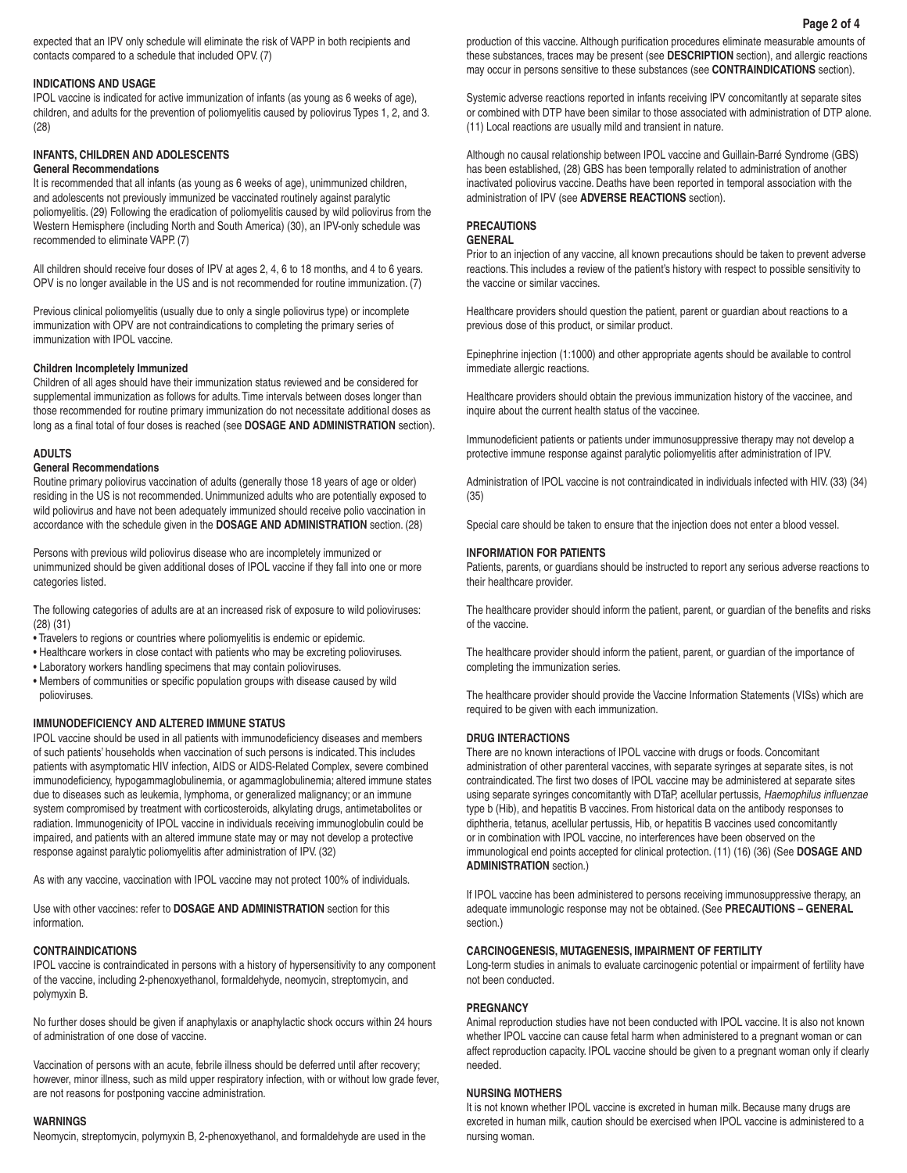# **INDICATIONS AND USAGE**

IPOL vaccine is indicated for active immunization of infants (as young as 6 weeks of age), children, and adults for the prevention of poliomyelitis caused by poliovirus Types 1, 2, and 3. (28)

# **INFANTS, CHILDREN AND ADOLESCENTS**

# **General Recommendations**

It is recommended that all infants (as young as 6 weeks of age), unimmunized children, and adolescents not previously immunized be vaccinated routinely against paralytic poliomyelitis. (29) Following the eradication of poliomyelitis caused by wild poliovirus from the Western Hemisphere (including North and South America) (30), an IPV-only schedule was recommended to eliminate VAPP. (7)

All children should receive four doses of IPV at ages 2, 4, 6 to 18 months, and 4 to 6 years. OPV is no longer available in the US and is not recommended for routine immunization. (7)

Previous clinical poliomyelitis (usually due to only a single poliovirus type) or incomplete immunization with OPV are not contraindications to completing the primary series of immunization with IPOL vaccine.

### **Children Incompletely Immunized**

Children of all ages should have their immunization status reviewed and be considered for supplemental immunization as follows for adults. Time intervals between doses longer than those recommended for routine primary immunization do not necessitate additional doses as long as a final total of four doses is reached (see **DOSAGE AND ADMINISTRATION** section).

### **ADULTS**

#### **General Recommendations**

Routine primary poliovirus vaccination of adults (generally those 18 years of age or older) residing in the US is not recommended. Unimmunized adults who are potentially exposed to wild poliovirus and have not been adequately immunized should receive polio vaccination in accordance with the schedule given in the **DOSAGE AND ADMINISTRATION** section. (28)

Persons with previous wild poliovirus disease who are incompletely immunized or unimmunized should be given additional doses of IPOL vaccine if they fall into one or more categories listed.

The following categories of adults are at an increased risk of exposure to wild polioviruses: (28) (31)

- Travelers to regions or countries where poliomyelitis is endemic or epidemic.
- Healthcare workers in close contact with patients who may be excreting polioviruses.
- Laboratory workers handling specimens that may contain polioviruses.
- Members of communities or specific population groups with disease caused by wild polioviruses.

# **IMMUNODEFICIENCY AND ALTERED IMMUNE STATUS**

IPOL vaccine should be used in all patients with immunodeficiency diseases and members of such patients' households when vaccination of such persons is indicated. This includes patients with asymptomatic HIV infection, AIDS or AIDS-Related Complex, severe combined immunodeficiency, hypogammaglobulinemia, or agammaglobulinemia; altered immune states due to diseases such as leukemia, lymphoma, or generalized malignancy; or an immune system compromised by treatment with corticosteroids, alkylating drugs, antimetabolites or radiation. Immunogenicity of IPOL vaccine in individuals receiving immunoglobulin could be impaired, and patients with an altered immune state may or may not develop a protective response against paralytic poliomyelitis after administration of IPV. (32)

As with any vaccine, vaccination with IPOL vaccine may not protect 100% of individuals.

Use with other vaccines: refer to **DOSAGE AND ADMINISTRATION** section for this information.

# **CONTRAINDICATIONS**

IPOL vaccine is contraindicated in persons with a history of hypersensitivity to any component of the vaccine, including 2-phenoxyethanol, formaldehyde, neomycin, streptomycin, and polymyxin B.

No further doses should be given if anaphylaxis or anaphylactic shock occurs within 24 hours of administration of one dose of vaccine.

Vaccination of persons with an acute, febrile illness should be deferred until after recovery; however, minor illness, such as mild upper respiratory infection, with or without low grade fever, are not reasons for postponing vaccine administration.

#### **WARNINGS**

Neomycin, streptomycin, polymyxin B, 2-phenoxyethanol, and formaldehyde are used in the

production of this vaccine. Although purification procedures eliminate measurable amounts of these substances, traces may be present (see **DESCRIPTION** section), and allergic reactions may occur in persons sensitive to these substances (see **CONTRAINDICATIONS** section).

Systemic adverse reactions reported in infants receiving IPV concomitantly at separate sites or combined with DTP have been similar to those associated with administration of DTP alone. (11) Local reactions are usually mild and transient in nature.

Although no causal relationship between IPOL vaccine and Guillain-Barré Syndrome (GBS) has been established, (28) GBS has been temporally related to administration of another inactivated poliovirus vaccine. Deaths have been reported in temporal association with the administration of IPV (see **ADVERSE REACTIONS** section).

# **PRECAUTIONS**

### **GENERAL**

Prior to an injection of any vaccine, all known precautions should be taken to prevent adverse reactions. This includes a review of the patient's history with respect to possible sensitivity to the vaccine or similar vaccines.

Healthcare providers should question the patient, parent or guardian about reactions to a previous dose of this product, or similar product.

Epinephrine injection (1:1000) and other appropriate agents should be available to control immediate allergic reactions.

Healthcare providers should obtain the previous immunization history of the vaccinee, and inquire about the current health status of the vaccinee.

Immunodeficient patients or patients under immunosuppressive therapy may not develop a protective immune response against paralytic poliomyelitis after administration of IPV.

Administration of IPOL vaccine is not contraindicated in individuals infected with HIV. (33) (34) (35)

Special care should be taken to ensure that the injection does not enter a blood vessel.

### **INFORMATION FOR PATIENTS**

Patients, parents, or guardians should be instructed to report any serious adverse reactions to their healthcare provider.

The healthcare provider should inform the patient, parent, or guardian of the benefits and risks of the vaccine.

The healthcare provider should inform the patient, parent, or guardian of the importance of completing the immunization series.

The healthcare provider should provide the Vaccine Information Statements (VISs) which are required to be given with each immunization.

# **DRUG INTERACTIONS**

There are no known interactions of IPOL vaccine with drugs or foods. Concomitant administration of other parenteral vaccines, with separate syringes at separate sites, is not contraindicated. The first two doses of IPOL vaccine may be administered at separate sites using separate syringes concomitantly with DTaP, acellular pertussis, *Haemophilus influenzae* type b (Hib), and hepatitis B vaccines. From historical data on the antibody responses to diphtheria, tetanus, acellular pertussis, Hib, or hepatitis B vaccines used concomitantly or in combination with IPOL vaccine, no interferences have been observed on the immunological end points accepted for clinical protection. (11) (16) (36) (See **DOSAGE AND ADMINISTRATION** section.)

If IPOL vaccine has been administered to persons receiving immunosuppressive therapy, an adequate immunologic response may not be obtained. (See **PRECAUTIONS – GENERAL** section.)

# **CARCINOGENESIS, MUTAGENESIS, IMPAIRMENT OF FERTILITY**

Long-term studies in animals to evaluate carcinogenic potential or impairment of fertility have not been conducted.

### **PREGNANCY**

Animal reproduction studies have not been conducted with IPOL vaccine. It is also not known whether IPOL vaccine can cause fetal harm when administered to a pregnant woman or can affect reproduction capacity. IPOL vaccine should be given to a pregnant woman only if clearly needed.

#### **NURSING MOTHERS**

It is not known whether IPOL vaccine is excreted in human milk. Because many drugs are excreted in human milk, caution should be exercised when IPOL vaccine is administered to a nursing woman.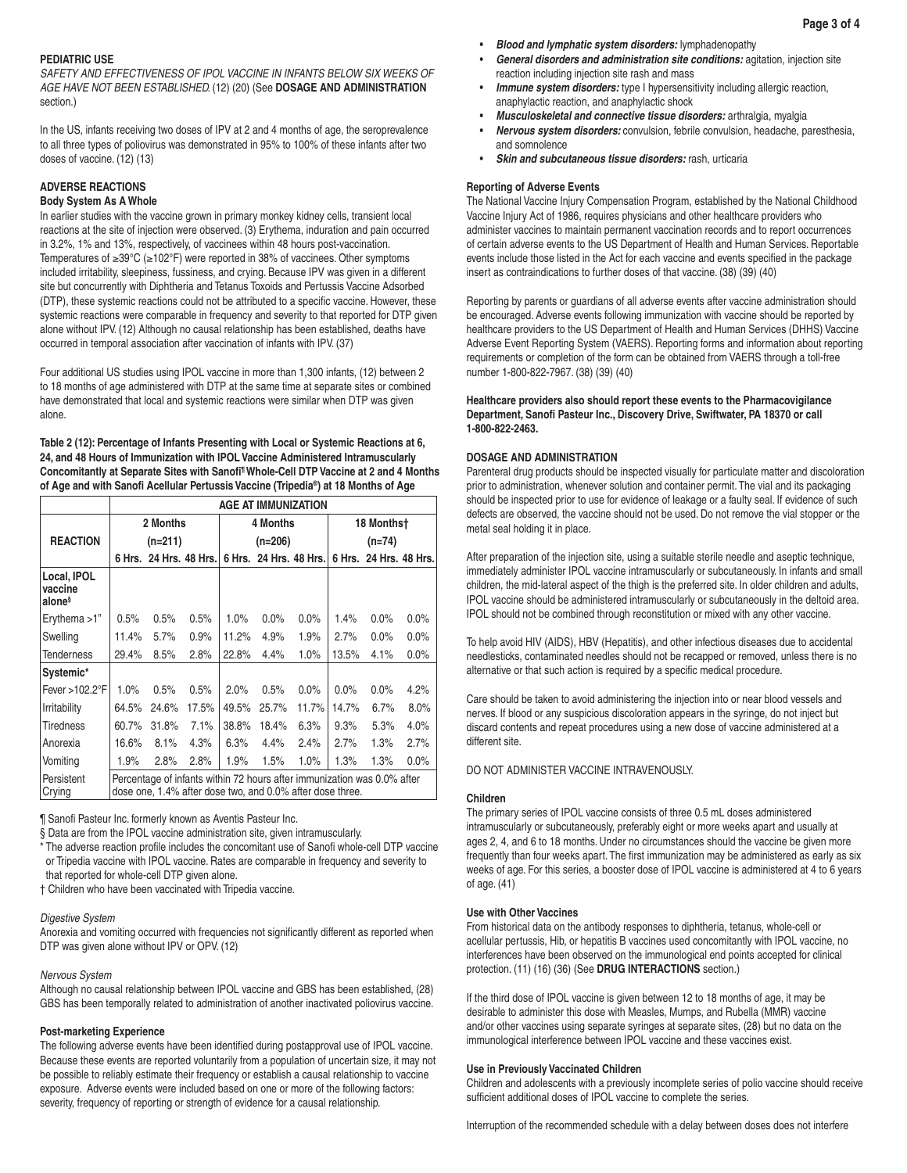# **PEDIATRIC USE**

SAFETY AND EFFECTIVENESS OF IPOL VACCINE IN INFANTS BELOW SIX WEEKS OF *AGE HAVE NOT BEEN ESTABLISHED.* (12) (20) (See **DOSAGE AND ADMINISTRATION** section.)

In the US, infants receiving two doses of IPV at 2 and 4 months of age, the seroprevalence to all three types of poliovirus was demonstrated in 95% to 100% of these infants after two doses of vaccine. (12) (13)

# **ADVERSE REACTIONS**

# **Body System As A Whole**

In earlier studies with the vaccine grown in primary monkey kidney cells, transient local reactions at the site of injection were observed. (3) Erythema, induration and pain occurred in 3.2%, 1% and 13%, respectively, of vaccinees within 48 hours post-vaccination. Temperatures of ≥39°C (≥102°F) were reported in 38% of vaccinees. Other symptoms included irritability, sleepiness, fussiness, and crying. Because IPV was given in a different site but concurrently with Diphtheria and Tetanus Toxoids and Pertussis Vaccine Adsorbed (DTP), these systemic reactions could not be attributed to a specific vaccine. However, these systemic reactions were comparable in frequency and severity to that reported for DTP given alone without IPV. (12) Although no causal relationship has been established, deaths have occurred in temporal association after vaccination of infants with IPV. (37)

Four additional US studies using IPOL vaccine in more than 1,300 infants, (12) between 2 to 18 months of age administered with DTP at the same time at separate sites or combined have demonstrated that local and systemic reactions were similar when DTP was given alone.

**Table 2 (12): Percentage of Infants Presenting with Local or Systemic Reactions at 6, 24, and 48 Hours of Immunization with IPOL Vaccine Administered Intramuscularly**  Concomitantly at Separate Sites with Sanofi<sup>1</sup> Whole-Cell DTP Vaccine at 2 and 4 Months **of Age and with Sanofi Acellular Pertussis Vaccine (Tripedia®) at 18 Months of Age**

|                                              | AGE AT IMMUNIZATION                                                                                                                  |                        |       |       |                        |         |                        |                        |         |  |  |
|----------------------------------------------|--------------------------------------------------------------------------------------------------------------------------------------|------------------------|-------|-------|------------------------|---------|------------------------|------------------------|---------|--|--|
|                                              |                                                                                                                                      | 2 Months               |       |       | 4 Months               |         | 18 Monthst<br>$(n=74)$ |                        |         |  |  |
| <b>REACTION</b>                              |                                                                                                                                      | (n=211)                |       |       | $(n=206)$              |         |                        |                        |         |  |  |
|                                              |                                                                                                                                      | 6 Hrs. 24 Hrs. 48 Hrs. |       |       | 6 Hrs. 24 Hrs. 48 Hrs. |         |                        | 6 Hrs. 24 Hrs. 48 Hrs. |         |  |  |
| Local, IPOL<br>vaccine<br>alone <sup>§</sup> |                                                                                                                                      |                        |       |       |                        |         |                        |                        |         |  |  |
| Erythema $>1$ "                              | 0.5%                                                                                                                                 | 0.5%                   | 0.5%  | 1.0%  | $0.0\%$                | $0.0\%$ | 1.4%                   | 0.0%                   | $0.0\%$ |  |  |
| Swelling                                     | 11.4%                                                                                                                                | 5.7%                   | 0.9%  | 11.2% | 4.9%                   | 1.9%    | 2.7%                   | 0.0%                   | $0.0\%$ |  |  |
| <b>Tenderness</b>                            | 29.4%                                                                                                                                | 8.5%                   | 2.8%  | 22.8% | 4.4%                   | 1.0%    | 13.5%                  | 4.1%                   | 0.0%    |  |  |
| Systemic*                                    |                                                                                                                                      |                        |       |       |                        |         |                        |                        |         |  |  |
| Fever >102.2°F                               | 1.0%                                                                                                                                 | 0.5%                   | 0.5%  | 2.0%  | 0.5%                   | $0.0\%$ | $0.0\%$                | 0.0%                   | 4.2%    |  |  |
| Irritability                                 | 64.5%                                                                                                                                | 24.6%                  | 17.5% | 49.5% | 25.7%                  | 11.7%   | 14.7%                  | 6.7%                   | 8.0%    |  |  |
| Tiredness                                    | 60.7%                                                                                                                                | 31.8%                  | 7.1%  | 38.8% | 18.4%                  | 6.3%    | 9.3%                   | 5.3%                   | 4.0%    |  |  |
| Anorexia                                     | 16.6%                                                                                                                                | 8.1%                   | 4.3%  | 6.3%  | 4.4%                   | 2.4%    | 2.7%                   | 1.3%                   | 2.7%    |  |  |
| Vomiting                                     | 1.9%                                                                                                                                 | 2.8%                   | 2.8%  | 1.9%  | 1.5%                   | 1.0%    | 1.3%                   | 1.3%                   | $0.0\%$ |  |  |
| Persistent<br>Crying                         | Percentage of infants within 72 hours after immunization was 0.0% after<br>dose one, 1.4% after dose two, and 0.0% after dose three. |                        |       |       |                        |         |                        |                        |         |  |  |

¶ Sanofi Pasteur Inc. formerly known as Aventis Pasteur Inc.

§ Data are from the IPOL vaccine administration site, given intramuscularly.

\* The adverse reaction profile includes the concomitant use of Sanofi whole-cell DTP vaccine or Tripedia vaccine with IPOL vaccine. Rates are comparable in frequency and severity to that reported for whole-cell DTP given alone.

† Children who have been vaccinated with Tripedia vaccine.

#### *Digestive System*

Anorexia and vomiting occurred with frequencies not significantly different as reported when DTP was given alone without IPV or OPV. (12)

#### *Nervous System*

Although no causal relationship between IPOL vaccine and GBS has been established, (28) GBS has been temporally related to administration of another inactivated poliovirus vaccine.

#### **Post-marketing Experience**

The following adverse events have been identified during postapproval use of IPOL vaccine. Because these events are reported voluntarily from a population of uncertain size, it may not be possible to reliably estimate their frequency or establish a causal relationship to vaccine exposure. Adverse events were included based on one or more of the following factors: severity, frequency of reporting or strength of evidence for a causal relationship.

- *Blood and lymphatic system disorders:* lymphadenopathy
- *General disorders and administration site conditions:* agitation, injection site reaction including injection site rash and mass
	- *Immune system disorders:* type I hypersensitivity including allergic reaction, anaphylactic reaction, and anaphylactic shock
- *Musculoskeletal and connective tissue disorders:* arthralgia, myalgia
- *Nervous system disorders:* convulsion, febrile convulsion, headache, paresthesia, and somnolence
- *Skin and subcutaneous tissue disorders:* rash, urticaria

#### **Reporting of Adverse Events**

The National Vaccine Injury Compensation Program, established by the National Childhood Vaccine Injury Act of 1986, requires physicians and other healthcare providers who administer vaccines to maintain permanent vaccination records and to report occurrences of certain adverse events to the US Department of Health and Human Services. Reportable events include those listed in the Act for each vaccine and events specified in the package insert as contraindications to further doses of that vaccine. (38) (39) (40)

Reporting by parents or guardians of all adverse events after vaccine administration should be encouraged. Adverse events following immunization with vaccine should be reported by healthcare providers to the US Department of Health and Human Services (DHHS) Vaccine Adverse Event Reporting System (VAERS). Reporting forms and information about reporting requirements or completion of the form can be obtained from VAERS through a toll-free number 1-800-822-7967. (38) (39) (40)

### **Healthcare providers also should report these events to the Pharmacovigilance Department, Sanofi Pasteur Inc., Discovery Drive, Swiftwater, PA 18370 or call 1-800-822-2463.**

# **DOSAGE AND ADMINISTRATION**

Parenteral drug products should be inspected visually for particulate matter and discoloration prior to administration, whenever solution and container permit. The vial and its packaging should be inspected prior to use for evidence of leakage or a faulty seal. If evidence of such defects are observed, the vaccine should not be used. Do not remove the vial stopper or the metal seal holding it in place.

After preparation of the injection site, using a suitable sterile needle and aseptic technique, immediately administer IPOL vaccine intramuscularly or subcutaneously. In infants and small children, the mid-lateral aspect of the thigh is the preferred site. In older children and adults, IPOL vaccine should be administered intramuscularly or subcutaneously in the deltoid area. IPOL should not be combined through reconstitution or mixed with any other vaccine.

To help avoid HIV (AIDS), HBV (Hepatitis), and other infectious diseases due to accidental needlesticks, contaminated needles should not be recapped or removed, unless there is no alternative or that such action is required by a specific medical procedure.

Care should be taken to avoid administering the injection into or near blood vessels and nerves. If blood or any suspicious discoloration appears in the syringe, do not inject but discard contents and repeat procedures using a new dose of vaccine administered at a different site.

#### DO NOT ADMINISTER VACCINE INTRAVENOUSLY.

#### **Children**

The primary series of IPOL vaccine consists of three 0.5 mL doses administered intramuscularly or subcutaneously, preferably eight or more weeks apart and usually at ages 2, 4, and 6 to 18 months. Under no circumstances should the vaccine be given more frequently than four weeks apart. The first immunization may be administered as early as six weeks of age. For this series, a booster dose of IPOL vaccine is administered at 4 to 6 years of age. (41)

# **Use with Other Vaccines**

From historical data on the antibody responses to diphtheria, tetanus, whole-cell or acellular pertussis, Hib, or hepatitis B vaccines used concomitantly with IPOL vaccine, no interferences have been observed on the immunological end points accepted for clinical protection. (11) (16) (36) (See **DRUG INTERACTIONS** section.)

If the third dose of IPOL vaccine is given between 12 to 18 months of age, it may be desirable to administer this dose with Measles, Mumps, and Rubella (MMR) vaccine and/or other vaccines using separate syringes at separate sites, (28) but no data on the immunological interference between IPOL vaccine and these vaccines exist.

#### **Use in Previously Vaccinated Children**

Children and adolescents with a previously incomplete series of polio vaccine should receive sufficient additional doses of IPOL vaccine to complete the series.

Interruption of the recommended schedule with a delay between doses does not interfere